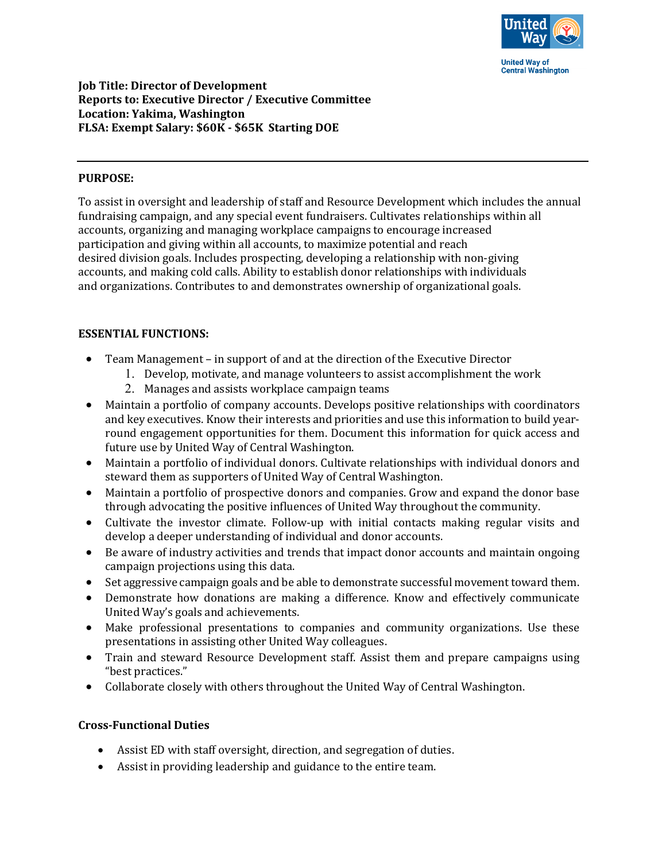

## **Job Title: Director of Development Reports to: Executive Director / Executive Committee Location: Yakima, Washington FLSA: Exempt Salary: \$60K - \$65K Starting DOE**

## **PURPOSE:**

To assist in oversight and leadership of staff and Resource Development which includes the annual fundraising campaign, and any special event fundraisers. Cultivates relationships within all accounts, organizing and managing workplace campaigns to encourage increased participation and giving within all accounts, to maximize potential and reach desired division goals. Includes prospecting, developing a relationship with non-giving accounts, and making cold calls. Ability to establish donor relationships with individuals and organizations. Contributes to and demonstrates ownership of organizational goals.

#### **ESSENTIAL FUNCTIONS:**

- Team Management in support of and at the direction of the Executive Director
	- 1. Develop, motivate, and manage volunteers to assist accomplishment the work
		- 2. Manages and assists workplace campaign teams
- Maintain a portfolio of company accounts. Develops positive relationships with coordinators and key executives. Know their interests and priorities and use this information to build yearround engagement opportunities for them. Document this information for quick access and future use by United Way of Central Washington.
- Maintain a portfolio of individual donors. Cultivate relationships with individual donors and steward them as supporters of United Way of Central Washington.
- Maintain a portfolio of prospective donors and companies. Grow and expand the donor base through advocating the positive influences of United Way throughout the community.
- Cultivate the investor climate. Follow-up with initial contacts making regular visits and develop a deeper understanding of individual and donor accounts.
- Be aware of industry activities and trends that impact donor accounts and maintain ongoing campaign projections using this data.
- Set aggressive campaign goals and be able to demonstrate successful movement toward them.
- Demonstrate how donations are making a difference. Know and effectively communicate United Way's goals and achievements.
- Make professional presentations to companies and community organizations. Use these presentations in assisting other United Way colleagues.
- Train and steward Resource Development staff. Assist them and prepare campaigns using "best practices."
- Collaborate closely with others throughout the United Way of Central Washington.

## **Cross-Functional Duties**

- Assist ED with staff oversight, direction, and segregation of duties.
- Assist in providing leadership and guidance to the entire team.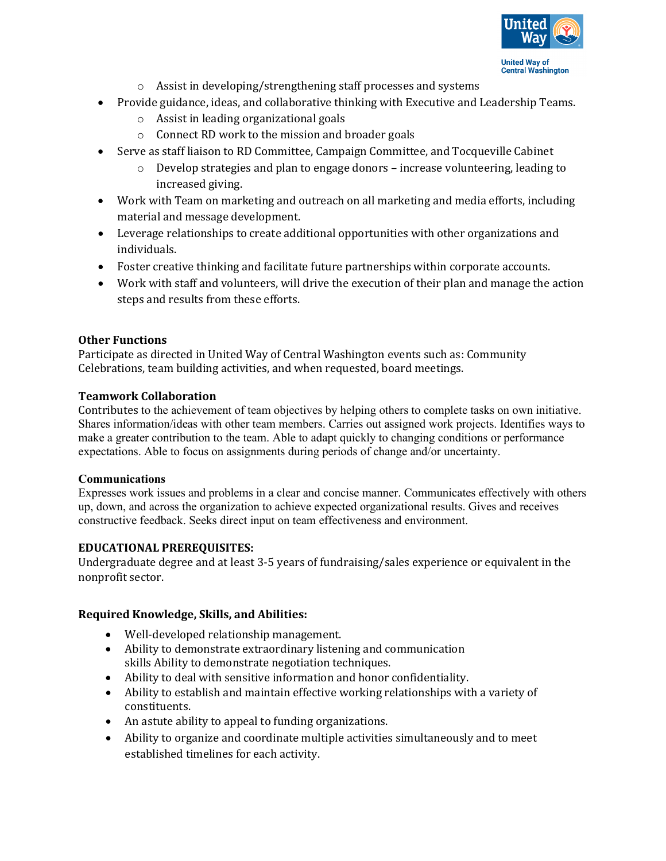

- o Assist in developing/strengthening staff processes and systems
- Provide guidance, ideas, and collaborative thinking with Executive and Leadership Teams.
	- o Assist in leading organizational goals
	- o Connect RD work to the mission and broader goals
- Serve as staff liaison to RD Committee, Campaign Committee, and Tocqueville Cabinet
	- $\circ$  Develop strategies and plan to engage donors increase volunteering, leading to increased giving.
- Work with Team on marketing and outreach on all marketing and media efforts, including material and message development.
- Leverage relationships to create additional opportunities with other organizations and individuals.
- Foster creative thinking and facilitate future partnerships within corporate accounts.
- Work with staff and volunteers, will drive the execution of their plan and manage the action steps and results from these efforts.

## **Other Functions**

Participate as directed in United Way of Central Washington events such as: Community Celebrations, team building activities, and when requested, board meetings.

#### **Teamwork Collaboration**

Contributes to the achievement of team objectives by helping others to complete tasks on own initiative. Shares information/ideas with other team members. Carries out assigned work projects. Identifies ways to make a greater contribution to the team. Able to adapt quickly to changing conditions or performance expectations. Able to focus on assignments during periods of change and/or uncertainty.

#### **Communications**

Expresses work issues and problems in a clear and concise manner. Communicates effectively with others up, down, and across the organization to achieve expected organizational results. Gives and receives constructive feedback. Seeks direct input on team effectiveness and environment.

## **EDUCATIONAL PREREQUISITES:**

Undergraduate degree and at least 3-5 years of fundraising/sales experience or equivalent in the nonprofit sector.

## **Required Knowledge, Skills, and Abilities:**

- Well-developed relationship management.
- Ability to demonstrate extraordinary listening and communication skills Ability to demonstrate negotiation techniques.
- Ability to deal with sensitive information and honor confidentiality.
- Ability to establish and maintain effective working relationships with a variety of constituents.
- An astute ability to appeal to funding organizations.
- Ability to organize and coordinate multiple activities simultaneously and to meet established timelines for each activity.